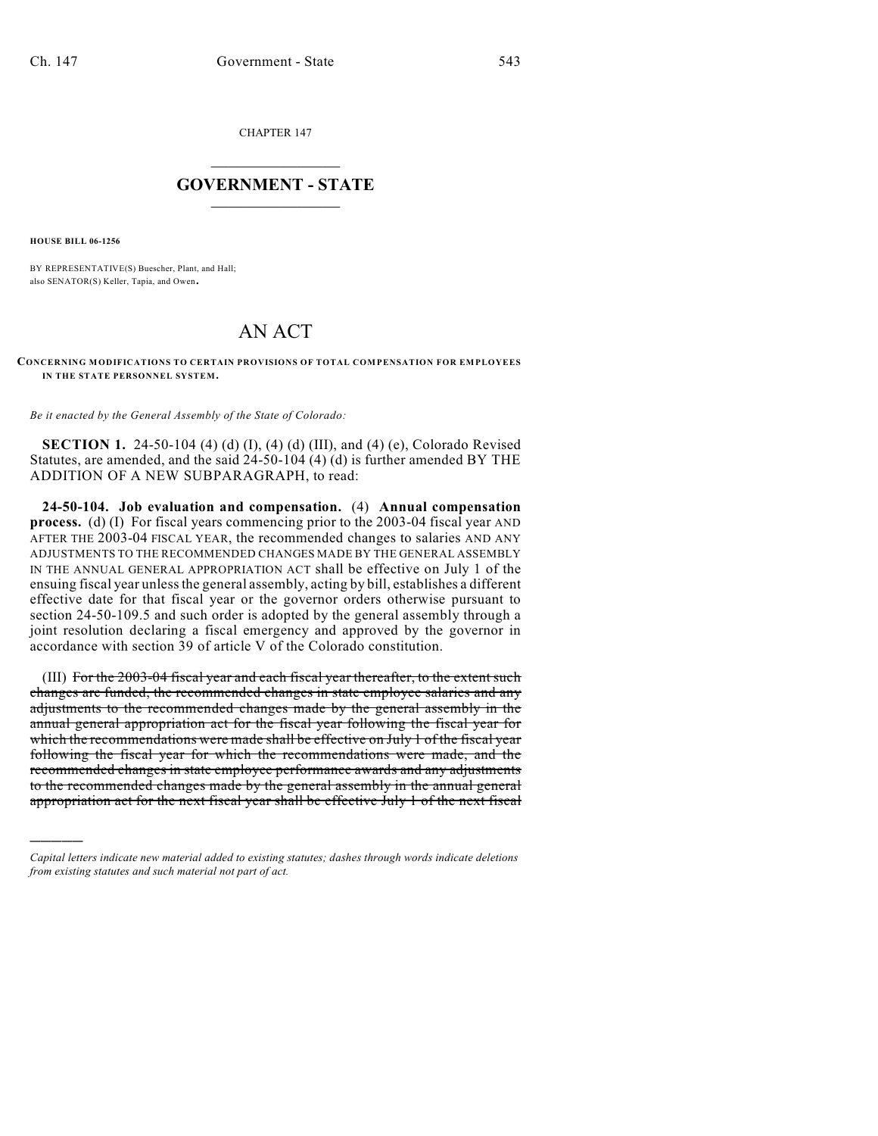CHAPTER 147

## $\overline{\phantom{a}}$  . The set of the set of the set of the set of the set of the set of the set of the set of the set of the set of the set of the set of the set of the set of the set of the set of the set of the set of the set o **GOVERNMENT - STATE**  $\_$

**HOUSE BILL 06-1256**

)))))

BY REPRESENTATIVE(S) Buescher, Plant, and Hall; also SENATOR(S) Keller, Tapia, and Owen.

## AN ACT

**CONCERNING MODIFICATIONS TO CERTAIN PROVISIONS OF TOTAL COMPENSATION FOR EMPLOYEES IN THE STATE PERSONNEL SYSTEM.**

*Be it enacted by the General Assembly of the State of Colorado:*

**SECTION 1.** 24-50-104 (4) (d) (I), (4) (d) (III), and (4) (e), Colorado Revised Statutes, are amended, and the said 24-50-104 (4) (d) is further amended BY THE ADDITION OF A NEW SUBPARAGRAPH, to read:

**24-50-104. Job evaluation and compensation.** (4) **Annual compensation process.** (d) (I) For fiscal years commencing prior to the 2003-04 fiscal year AND AFTER THE 2003-04 FISCAL YEAR, the recommended changes to salaries AND ANY ADJUSTMENTS TO THE RECOMMENDED CHANGES MADE BY THE GENERAL ASSEMBLY IN THE ANNUAL GENERAL APPROPRIATION ACT shall be effective on July 1 of the ensuing fiscal year unless the general assembly, acting by bill, establishes a different effective date for that fiscal year or the governor orders otherwise pursuant to section 24-50-109.5 and such order is adopted by the general assembly through a joint resolution declaring a fiscal emergency and approved by the governor in accordance with section 39 of article V of the Colorado constitution.

(III) For the 2003-04 fiscal year and each fiscal year thereafter, to the extent such changes are funded, the recommended changes in state employee salaries and any adjustments to the recommended changes made by the general assembly in the annual general appropriation act for the fiscal year following the fiscal year for which the recommendations were made shall be effective on July 1 of the fiscal year following the fiscal year for which the recommendations were made, and the recommended changes in state employee performance awards and any adjustments to the recommended changes made by the general assembly in the annual general appropriation act for the next fiscal year shall be effective July 1 of the next fiscal

*Capital letters indicate new material added to existing statutes; dashes through words indicate deletions from existing statutes and such material not part of act.*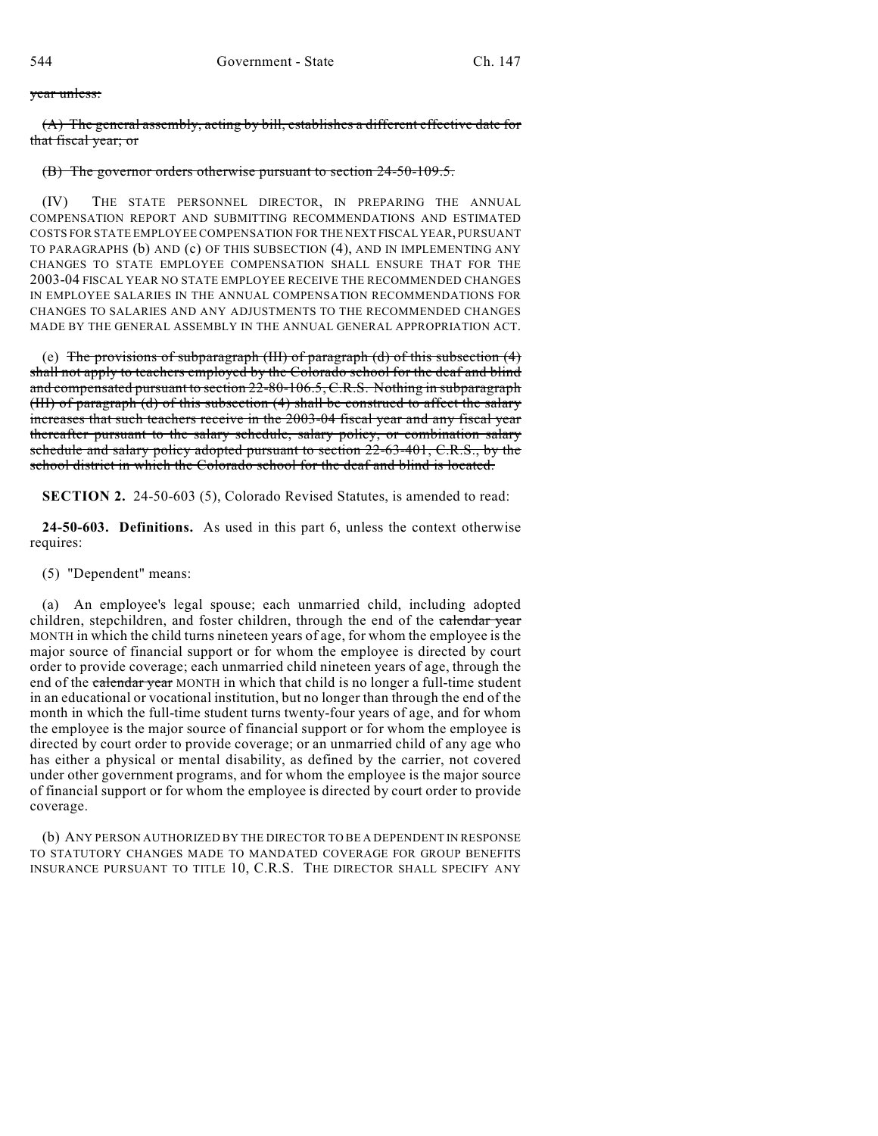## year unless:

(A) The general assembly, acting by bill, establishes a different effective date for that fiscal year; or

## (B) The governor orders otherwise pursuant to section 24-50-109.5.

(IV) THE STATE PERSONNEL DIRECTOR, IN PREPARING THE ANNUAL COMPENSATION REPORT AND SUBMITTING RECOMMENDATIONS AND ESTIMATED COSTS FOR STATE EMPLOYEE COMPENSATION FOR THE NEXT FISCAL YEAR, PURSUANT TO PARAGRAPHS (b) AND (c) OF THIS SUBSECTION (4), AND IN IMPLEMENTING ANY CHANGES TO STATE EMPLOYEE COMPENSATION SHALL ENSURE THAT FOR THE 2003-04 FISCAL YEAR NO STATE EMPLOYEE RECEIVE THE RECOMMENDED CHANGES IN EMPLOYEE SALARIES IN THE ANNUAL COMPENSATION RECOMMENDATIONS FOR CHANGES TO SALARIES AND ANY ADJUSTMENTS TO THE RECOMMENDED CHANGES MADE BY THE GENERAL ASSEMBLY IN THE ANNUAL GENERAL APPROPRIATION ACT.

(e) The provisions of subparagraph (III) of paragraph (d) of this subsection  $(4)$ shall not apply to teachers employed by the Colorado school for the deaf and blind and compensated pursuant to section 22-80-106.5, C.R.S. Nothing in subparagraph (III) of paragraph (d) of this subsection (4) shall be construed to affect the salary increases that such teachers receive in the 2003-04 fiscal year and any fiscal year thereafter pursuant to the salary schedule, salary policy, or combination salary schedule and salary policy adopted pursuant to section 22-63-401, C.R.S., by the school district in which the Colorado school for the deaf and blind is located.

**SECTION 2.** 24-50-603 (5), Colorado Revised Statutes, is amended to read:

**24-50-603. Definitions.** As used in this part 6, unless the context otherwise requires:

(5) "Dependent" means:

(a) An employee's legal spouse; each unmarried child, including adopted children, stepchildren, and foster children, through the end of the calendar year MONTH in which the child turns nineteen years of age, for whom the employee is the major source of financial support or for whom the employee is directed by court order to provide coverage; each unmarried child nineteen years of age, through the end of the calendar year MONTH in which that child is no longer a full-time student in an educational or vocational institution, but no longer than through the end of the month in which the full-time student turns twenty-four years of age, and for whom the employee is the major source of financial support or for whom the employee is directed by court order to provide coverage; or an unmarried child of any age who has either a physical or mental disability, as defined by the carrier, not covered under other government programs, and for whom the employee is the major source of financial support or for whom the employee is directed by court order to provide coverage.

(b) ANY PERSON AUTHORIZED BY THE DIRECTOR TO BE A DEPENDENT IN RESPONSE TO STATUTORY CHANGES MADE TO MANDATED COVERAGE FOR GROUP BENEFITS INSURANCE PURSUANT TO TITLE 10, C.R.S. THE DIRECTOR SHALL SPECIFY ANY